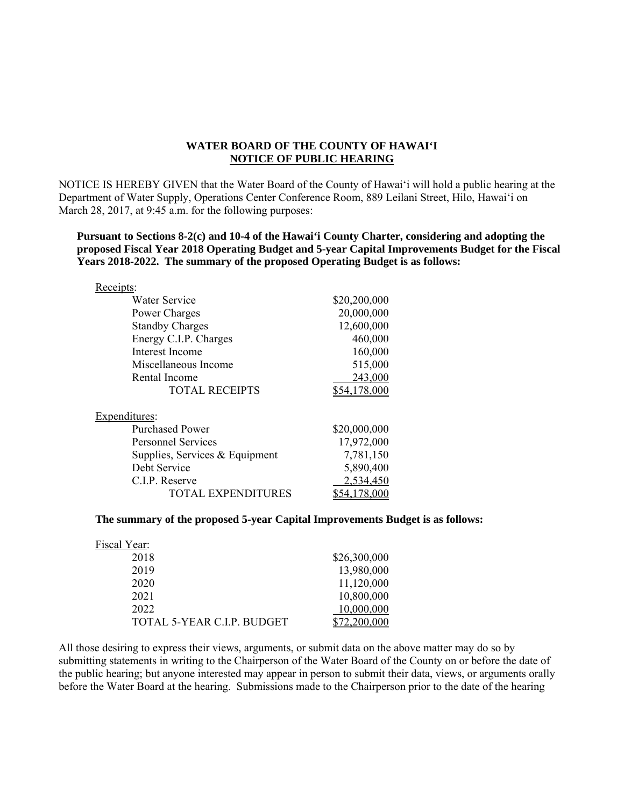## **WATER BOARD OF THE COUNTY OF HAWAI'I NOTICE OF PUBLIC HEARING**

NOTICE IS HEREBY GIVEN that the Water Board of the County of Hawai'i will hold a public hearing at the Department of Water Supply, Operations Center Conference Room, 889 Leilani Street, Hilo, Hawai'i on March 28, 2017, at 9:45 a.m. for the following purposes:

**Pursuant to Sections 8-2(c) and 10-4 of the Hawai'i County Charter, considering and adopting the proposed Fiscal Year 2018 Operating Budget and 5-year Capital Improvements Budget for the Fiscal Years 2018-2022. The summary of the proposed Operating Budget is as follows:** 

| Receipts:                      |              |
|--------------------------------|--------------|
| Water Service                  | \$20,200,000 |
| Power Charges                  | 20,000,000   |
| <b>Standby Charges</b>         | 12,600,000   |
| Energy C.I.P. Charges          | 460,000      |
| Interest Income                | 160,000      |
| Miscellaneous Income           | 515,000      |
| Rental Income                  | 243,000      |
| <b>TOTAL RECEIPTS</b>          | \$54,178,000 |
| Expenditures:                  |              |
| <b>Purchased Power</b>         | \$20,000,000 |
| Personnel Services             | 17,972,000   |
| Supplies, Services & Equipment | 7,781,150    |
| Debt Service                   | 5,890,400    |
| C.I.P. Reserve                 | 2,534,450    |
| <b>TOTAL EXPENDITURES</b>      | 78.000       |

## **The summary of the proposed 5-year Capital Improvements Budget is as follows:**

| Fiscal Year:               |              |
|----------------------------|--------------|
| 2018                       | \$26,300,000 |
| 2019                       | 13,980,000   |
| 2020                       | 11,120,000   |
| 2021                       | 10,800,000   |
| 2022                       | 10,000,000   |
| TOTAL 5-YEAR C.I.P. BUDGET |              |

 submitting statements in writing to the Chairperson of the Water Board of the County on or before the date of All those desiring to express their views, arguments, or submit data on the above matter may do so by the public hearing; but anyone interested may appear in person to submit their data, views, or arguments orally before the Water Board at the hearing. Submissions made to the Chairperson prior to the date of the hearing